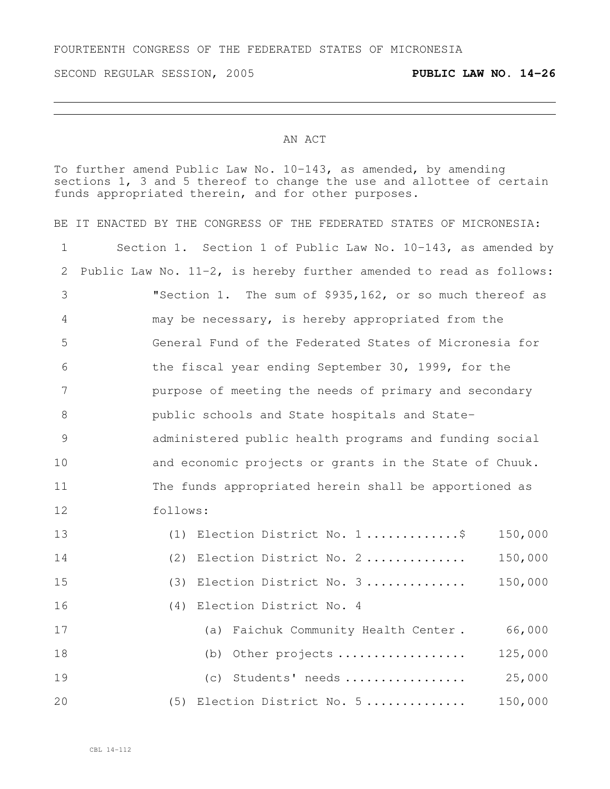SECOND REGULAR SESSION, 2005 **PUBLIC LAW NO. 14-26**

## AN ACT

To further amend Public Law No. 10-143, as amended, by amending sections 1, 3 and 5 thereof to change the use and allottee of certain funds appropriated therein, and for other purposes.

| BE.         | IT ENACTED BY THE CONGRESS OF THE FEDERATED STATES OF MICRONESIA:     |  |  |
|-------------|-----------------------------------------------------------------------|--|--|
| $\mathbf 1$ | Section 1. Section 1 of Public Law No. 10-143, as amended by          |  |  |
| 2           | Public Law No. $11-2$ , is hereby further amended to read as follows: |  |  |
| 3           | "Section 1. The sum of \$935,162, or so much thereof as               |  |  |
| 4           | may be necessary, is hereby appropriated from the                     |  |  |
| 5           | General Fund of the Federated States of Micronesia for                |  |  |
| 6           | the fiscal year ending September 30, 1999, for the                    |  |  |
| 7           | purpose of meeting the needs of primary and secondary                 |  |  |
| 8           | public schools and State hospitals and State-                         |  |  |
| 9           | administered public health programs and funding social                |  |  |
| 10          | and economic projects or grants in the State of Chuuk.                |  |  |
| 11          | The funds appropriated herein shall be apportioned as                 |  |  |
| 12          | follows:                                                              |  |  |
| 13          | Election District No. 1\$<br>150,000<br>(1)                           |  |  |
| 14          | Election District No. 2<br>150,000<br>(2)                             |  |  |
| 15          | Election District No. 3<br>150,000<br>(3)                             |  |  |
| 16          | Election District No. 4<br>(4)                                        |  |  |
| 17          | 66,000<br>Faichuk Community Health Center.<br>(a)                     |  |  |
| 18          | 125,000<br>Other projects<br>(b)                                      |  |  |
| 19          | (c) Students' needs<br>25,000                                         |  |  |
| 20          | Election District No. 5<br>150,000<br>(5)                             |  |  |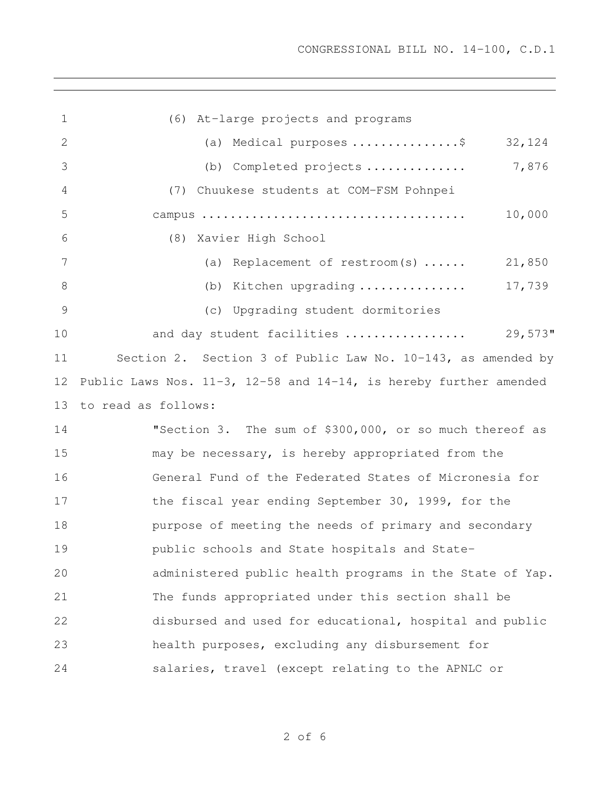(6) At-large projects and programs (a) Medical purposes ...............\$ 32,124 (b) Completed projects .............. 7,876 (7) Chuukese students at COM-FSM Pohnpei campus ..................................... 10,000 (8) Xavier High School (a) Replacement of restroom(s) ...... 21,850 8 (b) Kitchen upgrading ................ 17,739 (c) Upgrading student dormitories and day student facilities ................. 29,573" Section 2. Section 3 of Public Law No. 10-143, as amended by Public Laws Nos. 11-3, 12-58 and 14-14, is hereby further amended to read as follows: "Section 3. The sum of \$300,000, or so much thereof as may be necessary, is hereby appropriated from the General Fund of the Federated States of Micronesia for 17 the fiscal year ending September 30, 1999, for the purpose of meeting the needs of primary and secondary public schools and State hospitals and State- administered public health programs in the State of Yap. The funds appropriated under this section shall be disbursed and used for educational, hospital and public health purposes, excluding any disbursement for salaries, travel (except relating to the APNLC or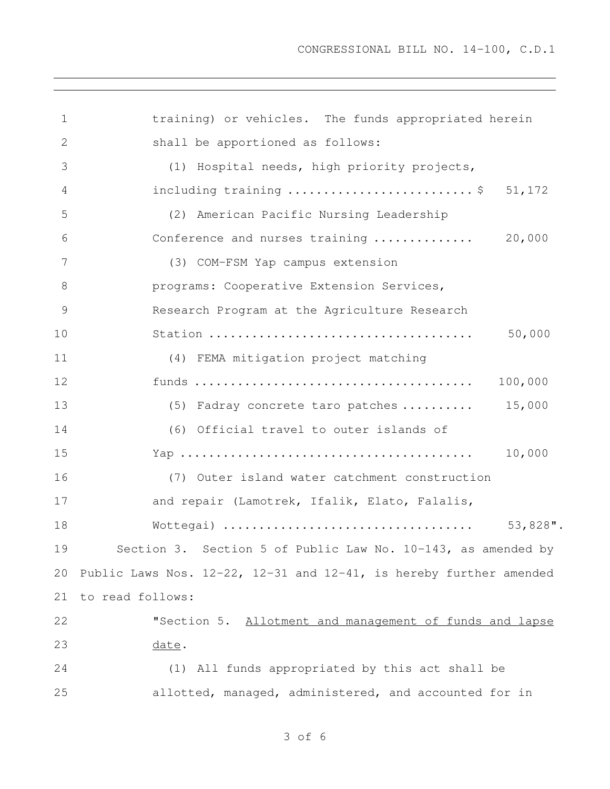training) or vehicles. The funds appropriated herein shall be apportioned as follows: (1) Hospital needs, high priority projects, including training .......................... \$ 51,172 (2) American Pacific Nursing Leadership Conference and nurses training .............. 20,000 (3) COM-FSM Yap campus extension **brograms:** Cooperative Extension Services, Research Program at the Agriculture Research Station ..................................... 50,000 (4) FEMA mitigation project matching funds ....................................... 100,000 13 (5) Fadray concrete taro patches ......... 15,000 (6) Official travel to outer islands of Yap ......................................... 10,000 (7) Outer island water catchment construction and repair (Lamotrek, Ifalik, Elato, Falalis, Wottegai) ................................... 53,828". Section 3. Section 5 of Public Law No. 10-143, as amended by Public Laws Nos. 12-22, 12-31 and 12-41, is hereby further amended to read follows: "Section 5. Allotment and management of funds and lapse date. (1) All funds appropriated by this act shall be allotted, managed, administered, and accounted for in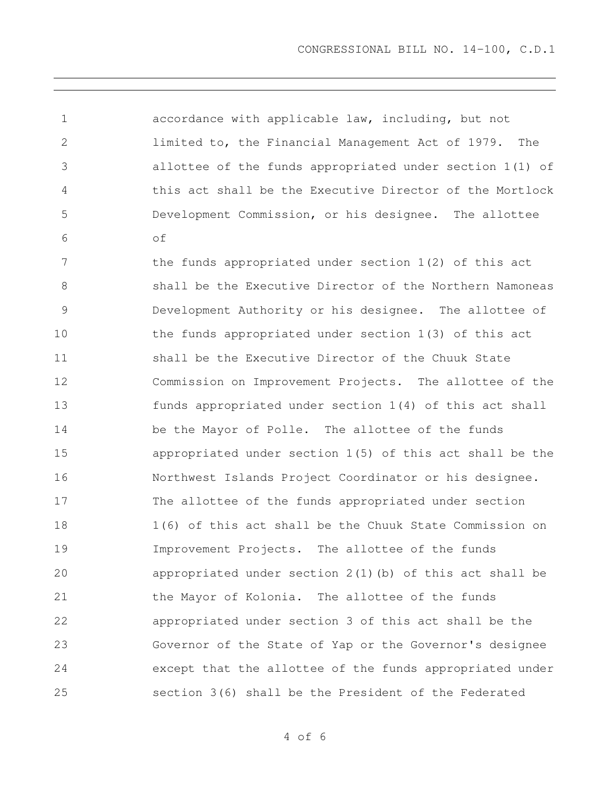accordance with applicable law, including, but not limited to, the Financial Management Act of 1979. The allottee of the funds appropriated under section 1(1) of this act shall be the Executive Director of the Mortlock Development Commission, or his designee. The allottee of 7 the funds appropriated under section 1(2) of this act shall be the Executive Director of the Northern Namoneas Development Authority or his designee. The allottee of the funds appropriated under section 1(3) of this act shall be the Executive Director of the Chuuk State Commission on Improvement Projects. The allottee of the funds appropriated under section 1(4) of this act shall be the Mayor of Polle. The allottee of the funds appropriated under section 1(5) of this act shall be the Northwest Islands Project Coordinator or his designee. The allottee of the funds appropriated under section 1(6) of this act shall be the Chuuk State Commission on Improvement Projects. The allottee of the funds appropriated under section 2(1)(b) of this act shall be the Mayor of Kolonia. The allottee of the funds appropriated under section 3 of this act shall be the Governor of the State of Yap or the Governor's designee except that the allottee of the funds appropriated under section 3(6) shall be the President of the Federated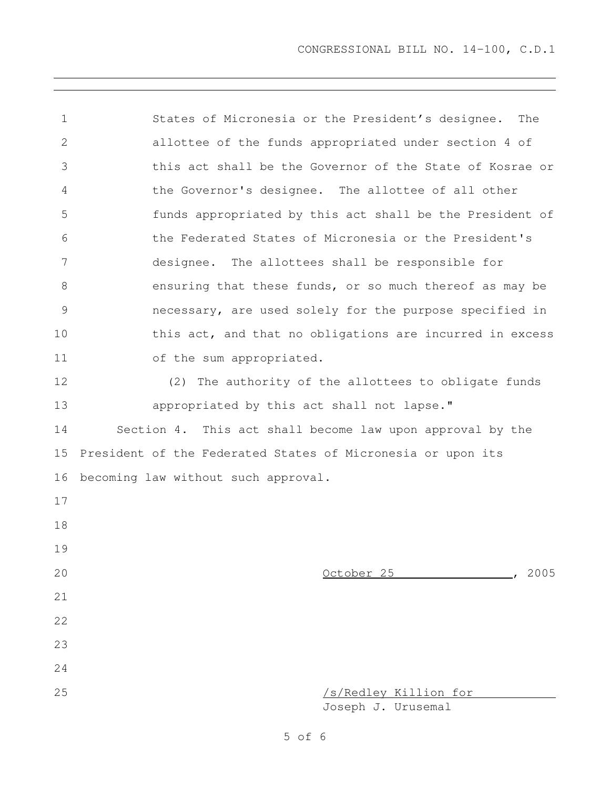States of Micronesia or the President's designee. The allottee of the funds appropriated under section 4 of this act shall be the Governor of the State of Kosrae or the Governor's designee. The allottee of all other funds appropriated by this act shall be the President of the Federated States of Micronesia or the President's designee. The allottees shall be responsible for ensuring that these funds, or so much thereof as may be necessary, are used solely for the purpose specified in this act, and that no obligations are incurred in excess of the sum appropriated. (2) The authority of the allottees to obligate funds **appropriated by this act shall not lapse.**" Section 4. This act shall become law upon approval by the President of the Federated States of Micronesia or upon its becoming law without such approval. October 25 , 2005 /s/Redley Killion for Joseph J. Urusemal